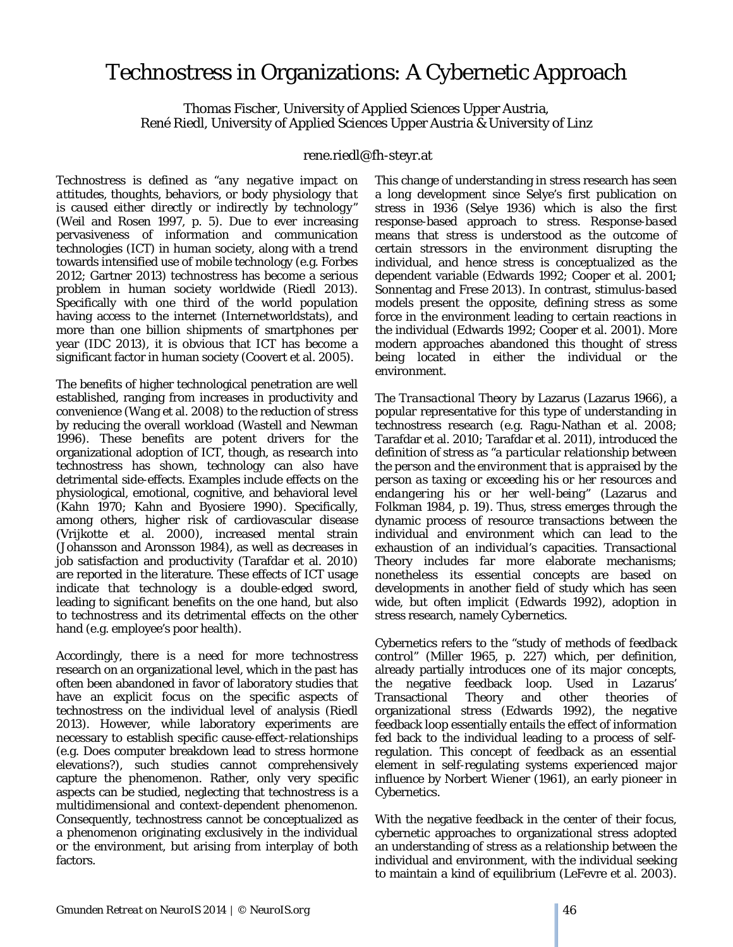## Technostress in Organizations: A Cybernetic Approach

Thomas Fischer, University of Applied Sciences Upper Austria, René Riedl, University of Applied Sciences Upper Austria & University of Linz

## rene.riedl@fh-steyr.at

Technostress is defined as "*any negative impact on attitudes, thoughts, behaviors, or body physiology that is caused either directly or indirectly by technology*" (Weil and Rosen 1997, p. 5). Due to ever increasing pervasiveness of information and communication technologies (ICT) in human society, along with a trend towards intensified use of mobile technology (e.g. Forbes 2012; Gartner 2013) technostress has become a serious problem in human society worldwide (Riedl 2013). Specifically with one third of the world population having access to the internet (Internetworldstats), and more than one billion shipments of smartphones per year (IDC 2013), it is obvious that ICT has become a significant factor in human society (Coovert et al. 2005).

The benefits of higher technological penetration are well established, ranging from increases in productivity and convenience (Wang et al. 2008) to the reduction of stress by reducing the overall workload (Wastell and Newman 1996). These benefits are potent drivers for the organizational adoption of ICT, though, as research into technostress has shown, technology can also have detrimental side-effects. Examples include effects on the physiological, emotional, cognitive, and behavioral level (Kahn 1970; Kahn and Byosiere 1990). Specifically, among others, higher risk of cardiovascular disease (Vrijkotte et al. 2000), increased mental strain (Johansson and Aronsson 1984), as well as decreases in job satisfaction and productivity (Tarafdar et al. 2010) are reported in the literature. These effects of ICT usage indicate that technology is a double-edged sword, leading to significant benefits on the one hand, but also to technostress and its detrimental effects on the other hand (e.g. employee's poor health).

Accordingly, there is a need for more technostress research on an organizational level, which in the past has often been abandoned in favor of laboratory studies that have an explicit focus on the specific aspects of technostress on the individual level of analysis (Riedl 2013). However, while laboratory experiments are necessary to establish specific cause-effect-relationships (e.g. Does computer breakdown lead to stress hormone elevations?), such studies cannot comprehensively capture the phenomenon. Rather, only very specific aspects can be studied, neglecting that technostress is a multidimensional and context-dependent phenomenon. Consequently, technostress cannot be conceptualized as a phenomenon originating exclusively in the individual or the environment, but arising from interplay of both factors.

This change of understanding in stress research has seen a long development since Selye's first publication on stress in 1936 (Selye 1936) which is also the first response-based approach to stress. *Response-based* means that stress is understood as the outcome of certain stressors in the environment disrupting the individual, and hence stress is conceptualized as the dependent variable (Edwards 1992; Cooper et al. 2001; Sonnentag and Frese 2013). In contrast, *stimulus-based* models present the opposite, defining stress as some force in the environment leading to certain reactions in the individual (Edwards 1992; Cooper et al. 2001). More modern approaches abandoned this thought of stress being located in either the individual or the environment.

The *Transactional Theory* by Lazarus (Lazarus 1966), a popular representative for this type of understanding in technostress research (e.g. Ragu-Nathan et al. 2008; Tarafdar et al. 2010; Tarafdar et al. 2011), introduced the definition of stress as "*a particular relationship between the person and the environment that is appraised by the person as taxing or exceeding his or her resources and endangering his or her well-being*" (Lazarus and Folkman 1984, p. 19). Thus, stress emerges through the dynamic process of resource transactions between the individual and environment which can lead to the exhaustion of an individual's capacities. Transactional Theory includes far more elaborate mechanisms; nonetheless its essential concepts are based on developments in another field of study which has seen wide, but often implicit (Edwards 1992), adoption in stress research, namely *Cybernetics*.

Cybernetics refers to the "*study of methods of feedback control*" (Miller 1965, p. 227) which, per definition, already partially introduces one of its major concepts, the negative feedback loop. Used in Lazarus' Transactional Theory and other theories of organizational stress (Edwards 1992), the negative feedback loop essentially entails the effect of information fed back to the individual leading to a process of selfregulation. This concept of feedback as an essential element in self-regulating systems experienced major influence by Norbert Wiener (1961), an early pioneer in Cybernetics.

With the negative feedback in the center of their focus, cybernetic approaches to organizational stress adopted an understanding of stress as a relationship between the individual and environment, with the individual seeking to maintain a kind of equilibrium (LeFevre et al. 2003).